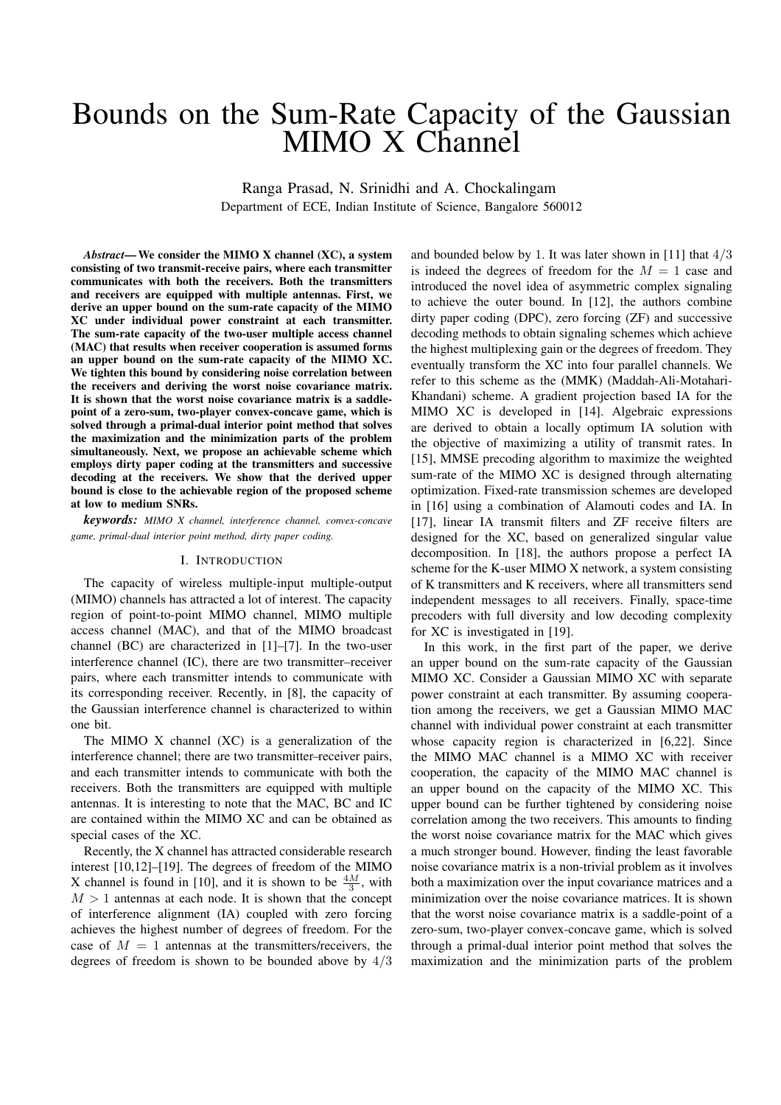# Bounds on the Sum-Rate Capacity of the Gaussian MIMO X Channel

Ranga Prasad, N. Srinidhi and A. Chockalingam Department of ECE, Indian Institute of Science, Bangalore 560012

*Abstract*— We consider the MIMO X channel (XC), a system consisting of two transmit-receive pairs, where each transmitter communicates with both the receivers. Both the transmitters and receivers are equipped with multiple antennas. First, we derive an upper bound on the sum-rate capacity of the MIMO XC under individual power constraint at each transmitter. The sum-rate capacity of the two-user multiple access channel (MAC) that results when receiver cooperation is assumed forms an upper bound on the sum-rate capacity of the MIMO XC. We tighten this bound by considering noise correlation between the receivers and deriving the worst noise covariance matrix. It is shown that the worst noise covariance matrix is a saddlepoint of a zero-sum, two-player convex-concave game, which is solved through a primal-dual interior point method that solves the maximization and the minimization parts of the problem simultaneously. Next, we propose an achievable scheme which employs dirty paper coding at the transmitters and successive decoding at the receivers. We show that the derived upper bound is close to the achievable region of the proposed scheme at low to medium SNRs.

*keywords: MIMO X channel, interference channel, convex-concave game, primal-dual interior point method, dirty paper coding.*

## I. INTRODUCTION

The capacity of wireless multiple-input multiple-output (MIMO) channels has attracted a lot of interest. The capacity region of point-to-point MIMO channel, MIMO multiple access channel (MAC), and that of the MIMO broadcast channel (BC) are characterized in [1]–[7]. In the two-user interference channel (IC), there are two transmitter–receiver pairs, where each transmitter intends to communicate with its corresponding receiver. Recently, in [8], the capacity of the Gaussian interference channel is characterized to within one bit.

The MIMO X channel (XC) is a generalization of the interference channel; there are two transmitter–receiver pairs, and each transmitter intends to communicate with both the receivers. Both the transmitters are equipped with multiple antennas. It is interesting to note that the MAC, BC and IC are contained within the MIMO XC and can be obtained as special cases of the XC.

Recently, the X channel has attracted considerable research interest [10,12]–[19]. The degrees of freedom of the MIMO X channel is found in [10], and it is shown to be  $\frac{4M}{3}$ , with  $M > 1$  antennas at each node. It is shown that the concept of interference alignment (IA) coupled with zero forcing achieves the highest number of degrees of freedom. For the case of  $M = 1$  antennas at the transmitters/receivers, the degrees of freedom is shown to be bounded above by 4/3

and bounded below by 1. It was later shown in [11] that  $4/3$ is indeed the degrees of freedom for the  $M = 1$  case and introduced the novel idea of asymmetric complex signaling to achieve the outer bound. In [12], the authors combine dirty paper coding (DPC), zero forcing (ZF) and successive decoding methods to obtain signaling schemes which achieve the highest multiplexing gain or the degrees of freedom. They eventually transform the XC into four parallel channels. We refer to this scheme as the (MMK) (Maddah-Ali-Motahari-Khandani) scheme. A gradient projection based IA for the MIMO XC is developed in [14]. Algebraic expressions are derived to obtain a locally optimum IA solution with the objective of maximizing a utility of transmit rates. In [15], MMSE precoding algorithm to maximize the weighted sum-rate of the MIMO XC is designed through alternating optimization. Fixed-rate transmission schemes are developed in [16] using a combination of Alamouti codes and IA. In [17], linear IA transmit filters and ZF receive filters are designed for the XC, based on generalized singular value decomposition. In [18], the authors propose a perfect IA scheme for the K-user MIMO X network, a system consisting of K transmitters and K receivers, where all transmitters send independent messages to all receivers. Finally, space-time precoders with full diversity and low decoding complexity for XC is investigated in [19].

In this work, in the first part of the paper, we derive an upper bound on the sum-rate capacity of the Gaussian MIMO XC. Consider a Gaussian MIMO XC with separate power constraint at each transmitter. By assuming cooperation among the receivers, we get a Gaussian MIMO MAC channel with individual power constraint at each transmitter whose capacity region is characterized in [6,22]. Since the MIMO MAC channel is a MIMO XC with receiver cooperation, the capacity of the MIMO MAC channel is an upper bound on the capacity of the MIMO XC. This upper bound can be further tightened by considering noise correlation among the two receivers. This amounts to finding the worst noise covariance matrix for the MAC which gives a much stronger bound. However, finding the least favorable noise covariance matrix is a non-trivial problem as it involves both a maximization over the input covariance matrices and a minimization over the noise covariance matrices. It is shown that the worst noise covariance matrix is a saddle-point of a zero-sum, two-player convex-concave game, which is solved through a primal-dual interior point method that solves the maximization and the minimization parts of the problem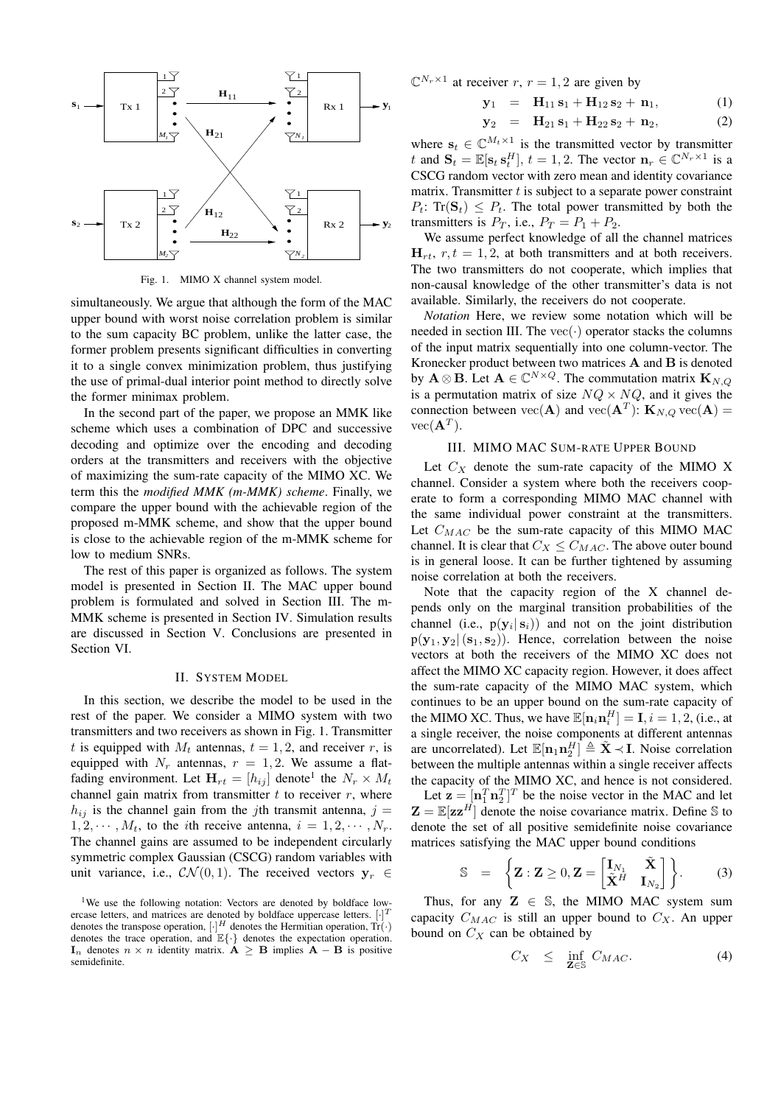

Fig. 1. MIMO X channel system model.

simultaneously. We argue that although the form of the MAC upper bound with worst noise correlation problem is similar to the sum capacity BC problem, unlike the latter case, the former problem presents significant difficulties in converting it to a single convex minimization problem, thus justifying the use of primal-dual interior point method to directly solve the former minimax problem.

In the second part of the paper, we propose an MMK like scheme which uses a combination of DPC and successive decoding and optimize over the encoding and decoding orders at the transmitters and receivers with the objective of maximizing the sum-rate capacity of the MIMO XC. We term this the *modified MMK (m-MMK) scheme*. Finally, we compare the upper bound with the achievable region of the proposed m-MMK scheme, and show that the upper bound is close to the achievable region of the m-MMK scheme for low to medium SNRs.

The rest of this paper is organized as follows. The system model is presented in Section II. The MAC upper bound problem is formulated and solved in Section III. The m-MMK scheme is presented in Section IV. Simulation results are discussed in Section V. Conclusions are presented in Section VI.

## II. SYSTEM MODEL

In this section, we describe the model to be used in the rest of the paper. We consider a MIMO system with two transmitters and two receivers as shown in Fig. 1. Transmitter t is equipped with  $M_t$  antennas,  $t = 1, 2$ , and receiver r, is equipped with  $N_r$  antennas,  $r = 1, 2$ . We assume a flatfading environment. Let  $\mathbf{H}_{rt} = [h_{ij}]$  denote<sup>1</sup> the  $N_r \times M_t$ channel gain matrix from transmitter  $t$  to receiver  $r$ , where  $h_{ij}$  is the channel gain from the jth transmit antenna, j =  $1, 2, \cdots, M_t$ , to the *i*th receive antenna,  $i = 1, 2, \cdots, N_r$ . The channel gains are assumed to be independent circularly symmetric complex Gaussian (CSCG) random variables with unit variance, i.e.,  $\mathcal{CN}(0,1)$ . The received vectors  $y_r \in$ 

 $\mathbb{C}^{N_r \times 1}$  at receiver r,  $r = 1, 2$  are given by

$$
\mathbf{y}_1 = \mathbf{H}_{11} \mathbf{s}_1 + \mathbf{H}_{12} \mathbf{s}_2 + \mathbf{n}_1, \tag{1}
$$

$$
y_2 = H_{21} s_1 + H_{22} s_2 + n_2, \qquad (2)
$$

where  $\mathbf{s}_t \in \mathbb{C}^{M_t \times 1}$  is the transmitted vector by transmitter t and  $\mathbf{S}_t = \mathbb{E}[\mathbf{s}_t \, \mathbf{s}_t^H], t = 1, 2$ . The vector  $\mathbf{n}_r \in \mathbb{C}^{N_r \times 1}$  is a CSCG random vector with zero mean and identity covariance matrix. Transmitter  $t$  is subject to a separate power constraint  $P_t$ : Tr( $\mathbf{S}_t$ )  $\leq P_t$ . The total power transmitted by both the transmitters is  $P_T$ , i.e.,  $P_T = P_1 + P_2$ .

We assume perfect knowledge of all the channel matrices  $H_{rt}$ ,  $r, t = 1, 2$ , at both transmitters and at both receivers. The two transmitters do not cooperate, which implies that non-causal knowledge of the other transmitter's data is not available. Similarly, the receivers do not cooperate.

*Notation* Here, we review some notation which will be needed in section III. The vec $(\cdot)$  operator stacks the columns of the input matrix sequentially into one column-vector. The Kronecker product between two matrices A and B is denoted by  $\mathbf{A} \otimes \mathbf{B}$ . Let  $\mathbf{A} \in \mathbb{C}^{N \times Q}$ . The commutation matrix  $\mathbf{K}_{N,Q}$ is a permutation matrix of size  $NQ \times NQ$ , and it gives the connection between  $\text{vec}(\mathbf{A})$  and  $\text{vec}(\mathbf{A}^T)$ :  $\mathbf{K}_{N,Q}$   $\text{vec}(\mathbf{A}) =$  $vec(\mathbf{A}^T).$ 

## III. MIMO MAC SUM-RATE UPPER BOUND

Let  $C_X$  denote the sum-rate capacity of the MIMO X channel. Consider a system where both the receivers cooperate to form a corresponding MIMO MAC channel with the same individual power constraint at the transmitters. Let  $C_{MAC}$  be the sum-rate capacity of this MIMO MAC channel. It is clear that  $C_X \leq C_{MAC}$ . The above outer bound is in general loose. It can be further tightened by assuming noise correlation at both the receivers.

Note that the capacity region of the X channel depends only on the marginal transition probabilities of the channel (i.e.,  $p(y_i | s_i)$ ) and not on the joint distribution  $p(\mathbf{y}_1, \mathbf{y}_2 | (\mathbf{s}_1, \mathbf{s}_2))$ . Hence, correlation between the noise vectors at both the receivers of the MIMO XC does not affect the MIMO XC capacity region. However, it does affect the sum-rate capacity of the MIMO MAC system, which continues to be an upper bound on the sum-rate capacity of the MIMO XC. Thus, we have  $\mathbb{E}[\mathbf{n}_i \mathbf{n}_i^H] = \mathbf{I}, i = 1, 2$ , (i.e., at a single receiver, the noise components at different antennas are uncorrelated). Let  $\mathbb{E}[n_1 n_2^H] \triangleq \tilde{X} \prec I$ . Noise correlation between the multiple antennas within a single receiver affects the capacity of the MIMO XC, and hence is not considered.

Let  $\mathbf{z} = [\mathbf{n}_1^T \mathbf{n}_2^T]^T$  be the noise vector in the MAC and let  $\mathbf{Z} = \mathbb{E}[\mathbf{z}\mathbf{z}^H]$  denote the noise covariance matrix. Define S to denote the set of all positive semidefinite noise covariance matrices satisfying the MAC upper bound conditions

$$
\mathbb{S} = \left\{ \mathbf{Z} : \mathbf{Z} \geq 0, \mathbf{Z} = \begin{bmatrix} \mathbf{I}_{N_1} & \tilde{\mathbf{X}} \\ \tilde{\mathbf{X}}^H & \mathbf{I}_{N_2} \end{bmatrix} \right\}. \tag{3}
$$

Thus, for any  $\mathbf{Z} \in \mathbb{S}$ , the MIMO MAC system sum capacity  $C_{MAC}$  is still an upper bound to  $C_X$ . An upper bound on  $C_X$  can be obtained by

$$
C_X \leq \inf_{\mathbf{Z} \in \mathbb{S}} C_{MAC}. \tag{4}
$$

<sup>&</sup>lt;sup>1</sup>We use the following notation: Vectors are denoted by boldface lowercase letters, and matrices are denoted by boldface uppercase letters. [ T denotes the transpose operation,  $[\cdot]^H$  denotes the Hermitian operation,  $Tr(\cdot)$ denotes the trace operation, and  $E\{\cdot\}$  denotes the expectation operation.  $\mathbf{I}_n$  denotes  $n \times n$  identity matrix.  $\mathbf{A} \geq \mathbf{B}$  implies  $\mathbf{A} - \mathbf{B}$  is positive semidefinite.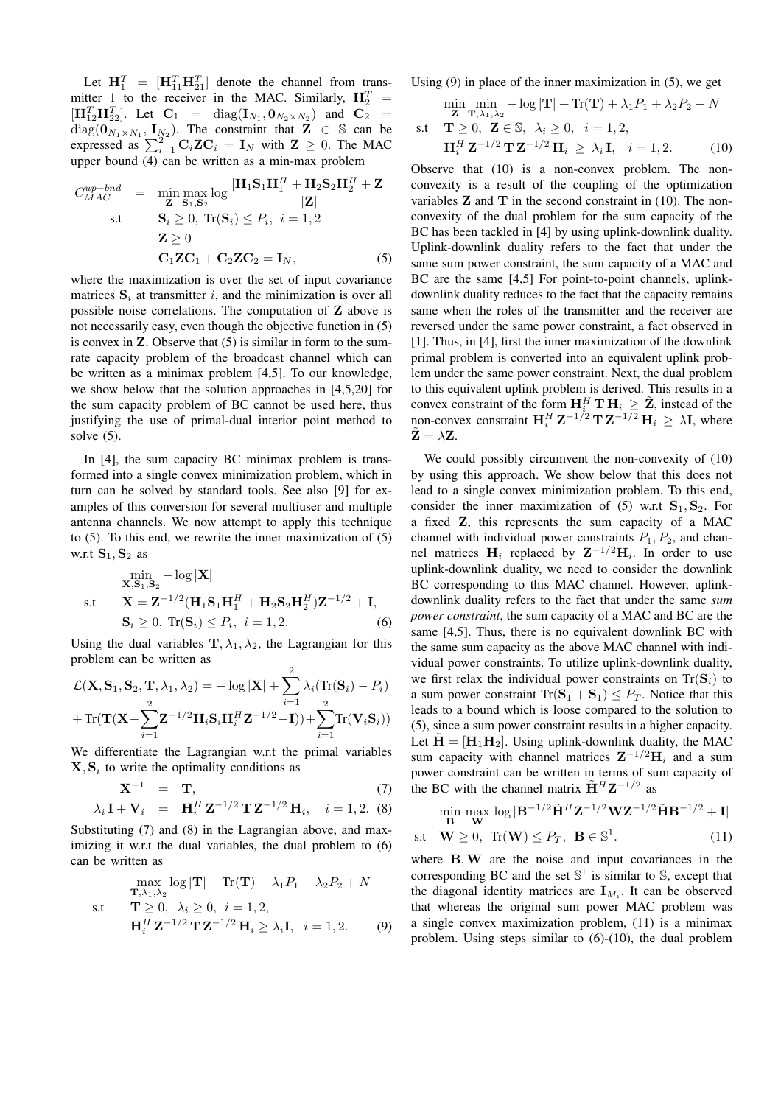Let  $\mathbf{H}_{1}^{T} = [\mathbf{H}_{11}^{T} \mathbf{H}_{21}^{T}]$  denote the channel from transmitter 1 to the receiver in the MAC. Similarly,  $\mathbf{H}_{2}^{T}$  =  $[H_{12}^T H_{22}^T]$ . Let  $C_1 = diag(I_{N_1}, 0_{N_2 \times N_2})$  and  $C_2 =$  $diag(\mathbf{0}_{N_1 \times N_1}, \mathbf{I}_{N_2})$ . The constraint that  $\mathbf{Z} \in \mathbb{S}$  can be expressed as  $\sum_{i=1}^{2}$  C<sub>i</sub>ZC<sub>i</sub> = I<sub>N</sub> with  $Z \ge 0$ . The MAC upper bound (4) can be written as a min-max problem

$$
C_{MAC}^{up-bnd} = \min_{\mathbf{Z}} \max_{\mathbf{S}_1, \mathbf{S}_2} \log \frac{|\mathbf{H}_1 \mathbf{S}_1 \mathbf{H}_1^H + \mathbf{H}_2 \mathbf{S}_2 \mathbf{H}_2^H + \mathbf{Z}|}{|\mathbf{Z}|}
$$
  
s.t  $\mathbf{S}_i \ge 0$ , Tr( $\mathbf{S}_i$ )  $\le P_i$ ,  $i = 1, 2$   
 $\mathbf{Z} \ge 0$   
 $\mathbf{C}_1 \mathbf{Z} \mathbf{C}_1 + \mathbf{C}_2 \mathbf{Z} \mathbf{C}_2 = \mathbf{I}_N$ , (5)

where the maximization is over the set of input covariance matrices  $S_i$  at transmitter i, and the minimization is over all possible noise correlations. The computation of Z above is not necessarily easy, even though the objective function in (5) is convex in  $Z$ . Observe that  $(5)$  is similar in form to the sumrate capacity problem of the broadcast channel which can be written as a minimax problem [4,5]. To our knowledge, we show below that the solution approaches in [4,5,20] for the sum capacity problem of BC cannot be used here, thus justifying the use of primal-dual interior point method to solve (5).

In [4], the sum capacity BC minimax problem is transformed into a single convex minimization problem, which in turn can be solved by standard tools. See also [9] for examples of this conversion for several multiuser and multiple antenna channels. We now attempt to apply this technique to (5). To this end, we rewrite the inner maximization of (5) w.r.t  $S_1, S_2$  as

$$
\min_{\mathbf{X}, \mathbf{S}_1, \mathbf{S}_2} -\log|\mathbf{X}|
$$
\ns.t\n
$$
\mathbf{X} = \mathbf{Z}^{-1/2} (\mathbf{H}_1 \mathbf{S}_1 \mathbf{H}_1^H + \mathbf{H}_2 \mathbf{S}_2 \mathbf{H}_2^H) \mathbf{Z}^{-1/2} + \mathbf{I},
$$
\n
$$
\mathbf{S}_i \ge 0, \text{ Tr}(\mathbf{S}_i) \le P_i, \ i = 1, 2.
$$
\n(6)

Using the dual variables  $\mathbf{T}, \lambda_1, \lambda_2$ , the Lagrangian for this problem can be written as

$$
\mathcal{L}(\mathbf{X}, \mathbf{S}_1, \mathbf{S}_2, \mathbf{T}, \lambda_1, \lambda_2) = -\log |\mathbf{X}| + \sum_{i=1}^2 \lambda_i (\text{Tr}(\mathbf{S}_i) - P_i)
$$
  
+  $\text{Tr}(\mathbf{T}(\mathbf{X} - \sum_{i=1}^2 \mathbf{Z}^{-1/2} \mathbf{H}_i \mathbf{S}_i \mathbf{H}_i^H \mathbf{Z}^{-1/2} - \mathbf{I})) + \sum_{i=1}^2 \text{Tr}(\mathbf{V}_i \mathbf{S}_i))$ 

We differentiate the Lagrangian w.r.t the primal variables  $X, S_i$  to write the optimality conditions as

$$
\mathbf{X}^{-1} = \mathbf{T}, \tag{7}
$$
\n
$$
\mathbf{I} \cdot \mathbf{V} = \mathbf{H}^H \mathbf{Z}^{-1/2} \mathbf{E} \mathbf{Z}^{-1/2} \mathbf{I} \tag{7}
$$

$$
\lambda_i \mathbf{I} + \mathbf{V}_i = \mathbf{H}_i^H \mathbf{Z}^{-1/2} \mathbf{T} \mathbf{Z}^{-1/2} \mathbf{H}_i, \quad i = 1, 2. \tag{8}
$$

Substituting (7) and (8) in the Lagrangian above, and maximizing it w.r.t the dual variables, the dual problem to  $(6)$ can be written as

$$
\max_{\mathbf{T},\lambda_1,\lambda_2} \log |\mathbf{T}| - \text{Tr}(\mathbf{T}) - \lambda_1 P_1 - \lambda_2 P_2 + N
$$
  
s.t 
$$
\mathbf{T} \ge 0, \ \lambda_i \ge 0, \ i = 1, 2,
$$

$$
\mathbf{H}_i^H \mathbf{Z}^{-1/2} \mathbf{T} \mathbf{Z}^{-1/2} \mathbf{H}_i \ge \lambda_i \mathbf{I}, \ i = 1, 2.
$$
 (9)

Using (9) in place of the inner maximization in (5), we get

$$
\min_{\mathbf{Z}} \min_{\mathbf{T}, \lambda_1, \lambda_2} -\log |\mathbf{T}| + \text{Tr}(\mathbf{T}) + \lambda_1 P_1 + \lambda_2 P_2 - N
$$
  
s.t  $\mathbf{T} \ge 0$ ,  $\mathbf{Z} \in \mathbb{S}$ ,  $\lambda_i \ge 0$ ,  $i = 1, 2$ ,  
 $\mathbf{H}_i^H \mathbf{Z}^{-1/2} \mathbf{T} \mathbf{Z}^{-1/2} \mathbf{H}_i \ge \lambda_i \mathbf{I}$ ,  $i = 1, 2$ . (10)

Observe that (10) is a non-convex problem. The nonconvexity is a result of the coupling of the optimization variables  $Z$  and  $T$  in the second constraint in (10). The nonconvexity of the dual problem for the sum capacity of the BC has been tackled in [4] by using uplink-downlink duality. Uplink-downlink duality refers to the fact that under the same sum power constraint, the sum capacity of a MAC and BC are the same [4,5] For point-to-point channels, uplinkdownlink duality reduces to the fact that the capacity remains same when the roles of the transmitter and the receiver are reversed under the same power constraint, a fact observed in [1]. Thus, in [4], first the inner maximization of the downlink primal problem is converted into an equivalent uplink problem under the same power constraint. Next, the dual problem to this equivalent uplink problem is derived. This results in a convex constraint of the form  $H_i^H T H_i \geq \tilde{Z}$ , instead of the non-convex constraint  $\mathbf{H}_{i}^{H} \mathbf{Z}^{-1/2} \mathbf{T} \mathbf{Z}^{-1/2} \mathbf{H}_{i} \geq \lambda \mathbf{I}$ , where  $\tilde{\mathbf{Z}} = \lambda \mathbf{Z}$ .

We could possibly circumvent the non-convexity of  $(10)$ by using this approach. We show below that this does not lead to a single convex minimization problem. To this end, consider the inner maximization of (5) w.r.t  $S_1, S_2$ . For a fixed Z, this represents the sum capacity of a MAC channel with individual power constraints  $P_1$ ,  $P_2$ , and channel matrices  $H_i$  replaced by  $Z^{-1/2}H_i$ . In order to use uplink-downlink duality, we need to consider the downlink BC corresponding to this MAC channel. However, uplinkdownlink duality refers to the fact that under the same *sum power constraint*, the sum capacity of a MAC and BC are the same [4,5]. Thus, there is no equivalent downlink BC with the same sum capacity as the above MAC channel with individual power constraints. To utilize uplink-downlink duality, we first relax the individual power constraints on  $Tr(S_i)$  to a sum power constraint  $\text{Tr}(\mathbf{S}_1 + \mathbf{S}_1) \leq P_T$ . Notice that this leads to a bound which is loose compared to the solution to (5), since a sum power constraint results in a higher capacity. Let  $\tilde{\mathbf{H}} = [\mathbf{H}_1 \mathbf{H}_2]$ . Using uplink-downlink duality, the MAC sum capacity with channel matrices  $Z^{-1/2}H_i$  and a sum power constraint can be written in terms of sum capacity of the BC with the channel matrix  $\tilde{\mathbf{H}}^H \mathbf{Z}^{-1/2}$  as

$$
\min_{\mathbf{B}} \max_{\mathbf{W}} \log |\mathbf{B}^{-1/2} \tilde{\mathbf{H}}^{H} \mathbf{Z}^{-1/2} \mathbf{W} \mathbf{Z}^{-1/2} \tilde{\mathbf{H}} \mathbf{B}^{-1/2} + \mathbf{I}|
$$
  
s.t  $\mathbf{W} \ge 0$ ,  $\text{Tr}(\mathbf{W}) \le P_{T}$ ,  $\mathbf{B} \in \mathbb{S}^{1}$ . (11)

where B, W are the noise and input covariances in the corresponding BC and the set  $\mathbb{S}^1$  is similar to  $\mathbb{S}$ , except that the diagonal identity matrices are  $I_{M_i}$ . It can be observed that whereas the original sum power MAC problem was a single convex maximization problem, (11) is a minimax problem. Using steps similar to (6)-(10), the dual problem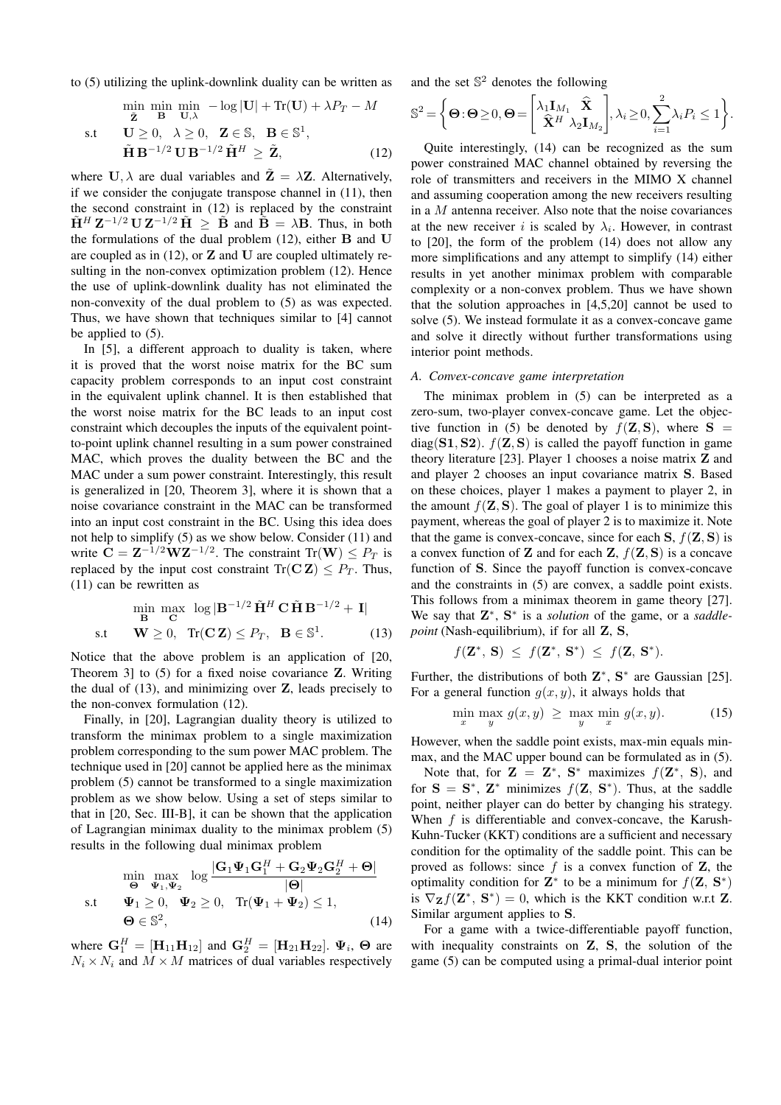to (5) utilizing the uplink-downlink duality can be written as

$$
\min_{\tilde{\mathbf{Z}}} \min_{\mathbf{B}} \min_{\mathbf{U}, \lambda} -\log|\mathbf{U}| + \text{Tr}(\mathbf{U}) + \lambda P_T - M
$$

s.t 
$$
\mathbf{U} \geq 0, \quad \lambda \geq 0, \quad \mathbf{Z} \in \mathbb{S}, \quad \mathbf{B} \in \mathbb{S}^1, \n\tilde{\mathbf{H}} \mathbf{B}^{-1/2} \mathbf{U} \mathbf{B}^{-1/2} \tilde{\mathbf{H}}^H \geq \tilde{\mathbf{Z}},
$$
\n(12)

where U,  $\lambda$  are dual variables and  $\mathbf{Z} = \lambda \mathbf{Z}$ . Alternatively, if we consider the conjugate transpose channel in (11), then the second constraint in (12) is replaced by the constraint  $\tilde{H}^H Z^{-1/2} U Z^{-1/2} \tilde{H} \geq \tilde{B}$  and  $\tilde{B} = \lambda B$ . Thus, in both the formulations of the dual problem  $(12)$ , either **B** and **U** are coupled as in  $(12)$ , or  $\mathbb Z$  and  $\mathbb U$  are coupled ultimately resulting in the non-convex optimization problem (12). Hence the use of uplink-downlink duality has not eliminated the non-convexity of the dual problem to (5) as was expected. Thus, we have shown that techniques similar to [4] cannot be applied to (5).

In [5], a different approach to duality is taken, where it is proved that the worst noise matrix for the BC sum capacity problem corresponds to an input cost constraint in the equivalent uplink channel. It is then established that the worst noise matrix for the BC leads to an input cost constraint which decouples the inputs of the equivalent pointto-point uplink channel resulting in a sum power constrained MAC, which proves the duality between the BC and the MAC under a sum power constraint. Interestingly, this result is generalized in [20, Theorem 3], where it is shown that a noise covariance constraint in the MAC can be transformed into an input cost constraint in the BC. Using this idea does not help to simplify (5) as we show below. Consider (11) and write  $\hat{\mathbf{C}} = \mathbf{Z}^{-1/2} \mathbf{W} \mathbf{Z}^{-1/2}$ . The constraint  $\text{Tr}(\mathbf{W}) \le P_T$  is replaced by the input cost constraint  $\text{Tr}(\mathbf{C} \mathbf{Z}) \leq P_T$ . Thus, (11) can be rewritten as

$$
\min_{\mathbf{B}} \max_{\mathbf{C}} \log |\mathbf{B}^{-1/2} \tilde{\mathbf{H}}^{H} \mathbf{C} \tilde{\mathbf{H}} \mathbf{B}^{-1/2} + \mathbf{I}|
$$
  
s.t  $\mathbf{W} \ge 0$ ,  $\text{Tr}(\mathbf{C} \mathbf{Z}) \le P_{T}$ ,  $\mathbf{B} \in \mathbb{S}^{1}$ . (13)

Notice that the above problem is an application of [20, Theorem 3] to (5) for a fixed noise covariance Z. Writing the dual of  $(13)$ , and minimizing over  $\mathbf{Z}$ , leads precisely to the non-convex formulation (12).

Finally, in [20], Lagrangian duality theory is utilized to transform the minimax problem to a single maximization problem corresponding to the sum power MAC problem. The technique used in [20] cannot be applied here as the minimax problem (5) cannot be transformed to a single maximization problem as we show below. Using a set of steps similar to that in [20, Sec. III-B], it can be shown that the application of Lagrangian minimax duality to the minimax problem (5) results in the following dual minimax problem

$$
\min_{\Theta} \max_{\Psi_1, \Psi_2} \log \frac{|\mathbf{G}_1 \Psi_1 \mathbf{G}_1^H + \mathbf{G}_2 \Psi_2 \mathbf{G}_2^H + \Theta|}{|\Theta|}
$$
\n
$$
\text{s.t} \quad \Psi_1 \ge 0, \quad \Psi_2 \ge 0, \quad \text{Tr}(\Psi_1 + \Psi_2) \le 1,
$$
\n
$$
\Theta \in \mathbb{S}^2, \tag{14}
$$

where  $\mathbf{G}_1^H = [\mathbf{H}_{11} \mathbf{H}_{12}]$  and  $\mathbf{G}_2^H = [\mathbf{H}_{21} \mathbf{H}_{22}]$ .  $\Psi_i$ ,  $\Theta$  are  $N_i \times N_i$  and  $M \times M$  matrices of dual variables respectively and the set  $\mathbb{S}^2$  denotes the following

S <sup>2</sup> = Θ:Θ≥0, Θ= " λ1IM<sup>1</sup> Xb <sup>X</sup><sup>b</sup> <sup>H</sup> <sup>λ</sup>2IM<sup>2</sup> # , λ<sup>i</sup> ≥0, X 2 i=1 λiP<sup>i</sup> ≤ 1 .

Quite interestingly, (14) can be recognized as the sum power constrained MAC channel obtained by reversing the role of transmitters and receivers in the MIMO X channel and assuming cooperation among the new receivers resulting in a  $M$  antenna receiver. Also note that the noise covariances at the new receiver i is scaled by  $\lambda_i$ . However, in contrast to [20], the form of the problem (14) does not allow any more simplifications and any attempt to simplify (14) either results in yet another minimax problem with comparable complexity or a non-convex problem. Thus we have shown that the solution approaches in [4,5,20] cannot be used to solve (5). We instead formulate it as a convex-concave game and solve it directly without further transformations using interior point methods.

## *A. Convex-concave game interpretation*

The minimax problem in (5) can be interpreted as a zero-sum, two-player convex-concave game. Let the objective function in (5) be denoted by  $f(\mathbf{Z}, \mathbf{S})$ , where  $\mathbf{S} =$ diag( $S1, S2$ ).  $f(Z, S)$  is called the payoff function in game theory literature [23]. Player 1 chooses a noise matrix Z and and player 2 chooses an input covariance matrix S. Based on these choices, player 1 makes a payment to player 2, in the amount  $f(\mathbf{Z}, \mathbf{S})$ . The goal of player 1 is to minimize this payment, whereas the goal of player 2 is to maximize it. Note that the game is convex-concave, since for each  $S$ ,  $f(\mathbf{Z}, S)$  is a convex function of **Z** and for each **Z**,  $f(\mathbf{Z}, \mathbf{S})$  is a concave function of S. Since the payoff function is convex-concave and the constraints in (5) are convex, a saddle point exists. This follows from a minimax theorem in game theory [27]. We say that  $\mathbf{Z}^*$ ,  $\mathbf{S}^*$  is a *solution* of the game, or a *saddlepoint* (Nash-equilibrium), if for all Z, S,

$$
f(\mathbf{Z}^*,\,\mathbf{S})\ \leq\ f(\mathbf{Z}^*,\,\mathbf{S}^*)\ \leq\ f(\mathbf{Z},\,\mathbf{S}^*).
$$

Further, the distributions of both  $\mathbb{Z}^*$ ,  $\mathbb{S}^*$  are Gaussian [25]. For a general function  $g(x, y)$ , it always holds that

$$
\min_{x} \max_{y} g(x, y) \ge \max_{y} \min_{x} g(x, y). \tag{15}
$$

However, when the saddle point exists, max-min equals minmax, and the MAC upper bound can be formulated as in (5).

Note that, for  $\mathbf{Z} = \mathbf{Z}^*, \ \mathbf{S}^*$  maximizes  $f(\mathbf{Z}^*, \ \mathbf{S})$ , and for  $S = S^*$ ,  $Z^*$  minimizes  $f(Z, S^*)$ . Thus, at the saddle point, neither player can do better by changing his strategy. When  $f$  is differentiable and convex-concave, the Karush-Kuhn-Tucker (KKT) conditions are a sufficient and necessary condition for the optimality of the saddle point. This can be proved as follows: since  $f$  is a convex function of  $\mathbf{Z}$ , the optimality condition for  $\mathbf{Z}^*$  to be a minimum for  $f(\mathbf{Z}, \mathbf{S}^*)$ is  $\nabla_{\mathbf{Z}} f(\mathbf{Z}^*, \mathbf{S}^*) = 0$ , which is the KKT condition w.r.t **Z**. Similar argument applies to S.

For a game with a twice-differentiable payoff function, with inequality constraints on **Z**, **S**, the solution of the game (5) can be computed using a primal-dual interior point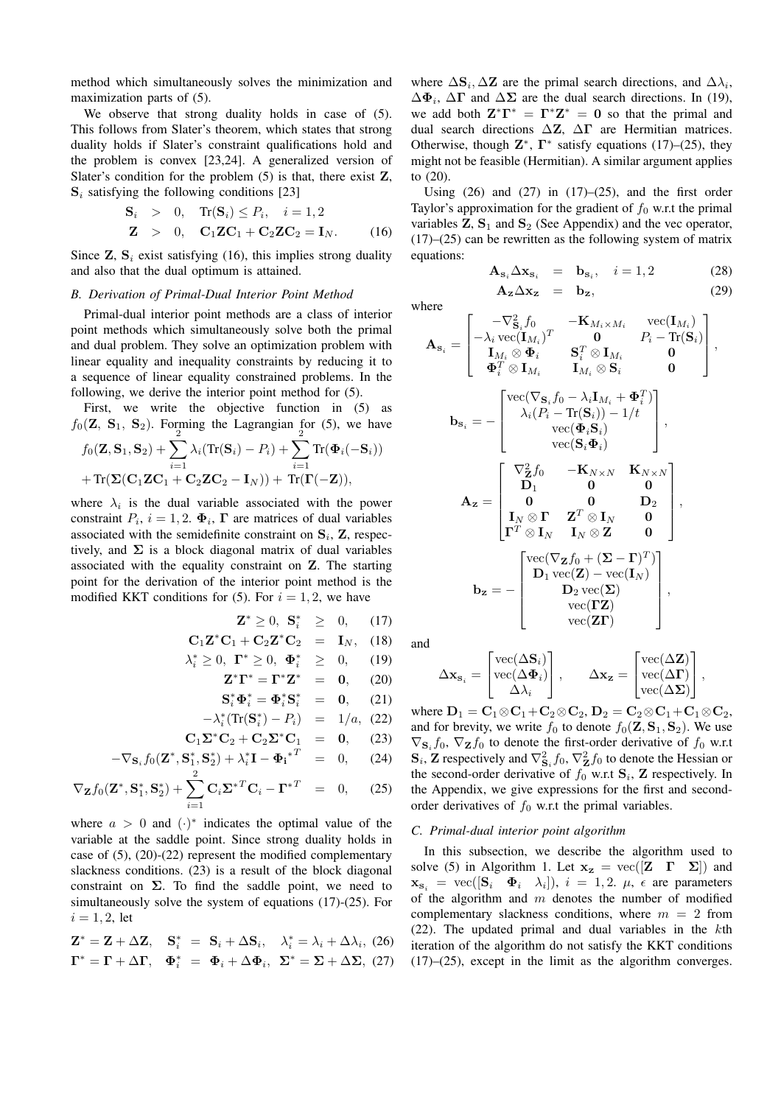method which simultaneously solves the minimization and maximization parts of (5).

We observe that strong duality holds in case of  $(5)$ . This follows from Slater's theorem, which states that strong duality holds if Slater's constraint qualifications hold and the problem is convex [23,24]. A generalized version of Slater's condition for the problem  $(5)$  is that, there exist  $\mathbf{Z}$ ,  $S_i$  satisfying the following conditions [23]

$$
\begin{aligned}\n\mathbf{S}_i &> 0, \quad \text{Tr}(\mathbf{S}_i) \le P_i, \quad i = 1, 2 \\
\mathbf{Z} &> 0, \quad \mathbf{C}_1 \mathbf{Z} \mathbf{C}_1 + \mathbf{C}_2 \mathbf{Z} \mathbf{C}_2 = \mathbf{I}_N.\n\end{aligned}
$$
\n
$$
(16)
$$

Since  $Z$ ,  $S_i$  exist satisfying (16), this implies strong duality and also that the dual optimum is attained.

# *B. Derivation of Primal-Dual Interior Point Method*

Primal-dual interior point methods are a class of interior point methods which simultaneously solve both the primal and dual problem. They solve an optimization problem with linear equality and inequality constraints by reducing it to a sequence of linear equality constrained problems. In the following, we derive the interior point method for (5).

First, we write the objective function in (5) as  $f_0(\mathbf{Z}, \mathbf{S}_1, \mathbf{S}_2)$ . Forming the Lagrangian for (5), we have

$$
f_0(\mathbf{Z}, \mathbf{S}_1, \mathbf{S}_2) + \sum_{i=1} \lambda_i (\text{Tr}(\mathbf{S}_i) - P_i) + \sum_{i=1} \text{Tr}(\boldsymbol{\Phi}_i(-\mathbf{S}_i))
$$
  
+  $\text{Tr}(\boldsymbol{\Sigma}(\mathbf{C}_1 \mathbf{Z}\mathbf{C}_1 + \mathbf{C}_2 \mathbf{Z}\mathbf{C}_2 - \mathbf{I}_N)) + \text{Tr}(\boldsymbol{\Gamma}(-\mathbf{Z})),$ 

where  $\lambda_i$  is the dual variable associated with the power constraint  $P_i$ ,  $i = 1, 2$ .  $\Phi_i$ ,  $\Gamma$  are matrices of dual variables associated with the semidefinite constraint on  $S_i$ ,  $Z$ , respectively, and  $\Sigma$  is a block diagonal matrix of dual variables associated with the equality constraint on Z. The starting point for the derivation of the interior point method is the modified KKT conditions for (5). For  $i = 1, 2$ , we have

$$
\mathbf{Z}^* \geq 0, \ \mathbf{S}_i^* \ \geq \ 0, \qquad (17)
$$

$$
\mathbf{C}_1 \mathbf{Z}^* \mathbf{C}_1 + \mathbf{C}_2 \mathbf{Z}^* \mathbf{C}_2 = \mathbf{I}_N, \quad (18)
$$

$$
\lambda_i^* \ge 0, \ \Gamma^* \ge 0, \ \Phi_i^* \ \ge 0, \quad (19)
$$

$$
\mathbf{Z}^* \mathbf{\Gamma}^* = \mathbf{\Gamma}^* \mathbf{Z}^* = 0, \quad (20)
$$
  

$$
\mathbf{S}_i^* \mathbf{\Phi}_i^* = \mathbf{\Phi}_i^* \mathbf{S}_i^* = 0, \quad (21)
$$

$$
-\lambda_i^* (\text{Tr}(\mathbf{S}_i^*) - P_i) = 1/a, (22)
$$

$$
\mathbf{C}_1 \Sigma^* \mathbf{C}_2 + \mathbf{C}_2 \Sigma^* \mathbf{C}_1 = \mathbf{0}, \qquad (23)
$$

$$
-\nabla_{\mathbf{S}_i} f_0(\mathbf{Z}^*, \mathbf{S}_1^*, \mathbf{S}_2^*) + \lambda_i^* \mathbf{I} - {\mathbf{\Phi_i}^*}^T = 0, \qquad (24)
$$

$$
\nabla_{\mathbf{Z}} f_0(\mathbf{Z}^*, \mathbf{S}_1^*, \mathbf{S}_2^*) + \sum_{i=1}^2 \mathbf{C}_i {\boldsymbol{\Sigma}^*}^T \mathbf{C}_i - {\boldsymbol{\Gamma}^*}^T = 0, \qquad (25)
$$

where  $a > 0$  and  $(\cdot)^*$  indicates the optimal value of the variable at the saddle point. Since strong duality holds in case of (5), (20)-(22) represent the modified complementary slackness conditions. (23) is a result of the block diagonal constraint on  $\Sigma$ . To find the saddle point, we need to simultaneously solve the system of equations (17)-(25). For  $i = 1, 2,$  let

$$
\mathbf{Z}^* = \mathbf{Z} + \Delta \mathbf{Z}, \quad \mathbf{S}_i^* = \mathbf{S}_i + \Delta \mathbf{S}_i, \quad \lambda_i^* = \lambda_i + \Delta \lambda_i, \quad (26)
$$

$$
\mathbf{\Gamma}^* = \mathbf{\Gamma} + \Delta \mathbf{\Gamma}, \quad \mathbf{\Phi}_i^* = \mathbf{\Phi}_i + \Delta \mathbf{\Phi}_i, \quad \mathbf{\Sigma}^* = \mathbf{\Sigma} + \Delta \mathbf{\Sigma}, \quad (27)
$$

where  $\Delta S_i$ ,  $\Delta Z$  are the primal search directions, and  $\Delta \lambda_i$ ,  $\Delta \Phi_i$ ,  $\Delta \Gamma$  and  $\Delta \Sigma$  are the dual search directions. In (19), we add both  $\mathbf{Z}^* \mathbf{\Gamma}^* = \mathbf{\Gamma}^* \mathbf{Z}^* = \mathbf{0}$  so that the primal and dual search directions  $\Delta Z$ ,  $\Delta \Gamma$  are Hermitian matrices. Otherwise, though  $\mathbf{Z}^*$ ,  $\Gamma^*$  satisfy equations (17)–(25), they might not be feasible (Hermitian). A similar argument applies to (20).

Using  $(26)$  and  $(27)$  in  $(17)–(25)$ , and the first order Taylor's approximation for the gradient of  $f_0$  w.r.t the primal variables  $Z$ ,  $S_1$  and  $S_2$  (See Appendix) and the vec operator,  $(17)$ – $(25)$  can be rewritten as the following system of matrix equations:

$$
\mathbf{A}_{\mathbf{s}_i} \Delta \mathbf{x}_{\mathbf{s}_i} = \mathbf{b}_{\mathbf{s}_i}, \quad i = 1, 2 \tag{28}
$$
\n
$$
\mathbf{A}_{\mathbf{z}} \Delta \mathbf{x}_{\mathbf{z}} = \mathbf{b}_{\mathbf{z}}, \tag{29}
$$

where

$$
\mathbf{A}_{\mathbf{s}_{i}} = \begin{bmatrix}\n-\nabla_{\mathbf{s}_{i}}^{2} f_{0} & -\mathbf{K}_{M_{i} \times M_{i}} & \text{vec}(\mathbf{I}_{M_{i}}) \\
-\lambda_{i} \text{vec}(\mathbf{I}_{M_{i}})^{T} & \mathbf{0} & P_{i} - \text{Tr}(\mathbf{S}_{i}) \\
\mathbf{I}_{M_{i}} \otimes \mathbf{\Phi}_{i} & \mathbf{S}_{i}^{T} \otimes \mathbf{I}_{M_{i}} & \mathbf{0} \\
\mathbf{\Phi}_{i}^{T} \otimes \mathbf{I}_{M_{i}} & \mathbf{I}_{M_{i}} \otimes \mathbf{S}_{i} & \mathbf{0}\n\end{bmatrix},
$$
\n
$$
\mathbf{b}_{\mathbf{s}_{i}} = -\begin{bmatrix}\n\text{vec}(\nabla_{\mathbf{s}_{i}} f_{0} - \lambda_{i} \mathbf{I}_{M_{i}} + \mathbf{\Phi}_{i}^{T}) \\
\lambda_{i} (P_{i} - \text{Tr}(\mathbf{S}_{i})) - 1/t \\
\lambda_{i} (P_{i} - \text{Tr}(\mathbf{S}_{i})) - 1/t \\
\text{vec}(\mathbf{\Phi}_{i} \mathbf{S}_{i}) \\
\text{vec}(\mathbf{S}_{i} \mathbf{\Phi}_{i})\n\end{bmatrix},
$$
\n
$$
\mathbf{A}_{\mathbf{z}} = \begin{bmatrix}\n\nabla_{\mathbf{z}}^{2} f_{0} & -\mathbf{K}_{N \times N} & \mathbf{K}_{N \times N} \\
\mathbf{D}_{1} & \mathbf{0} & \mathbf{0} \\
\mathbf{I}_{N} \otimes \mathbf{\Gamma} & \mathbf{Z}^{T} \otimes \mathbf{I}_{N} & \mathbf{0} \\
\mathbf{I}_{N} \otimes \mathbf{I} & \mathbf{I}_{N} \otimes \mathbf{Z} & \mathbf{0}\n\end{bmatrix},
$$
\n
$$
\mathbf{b}_{\mathbf{z}} = -\begin{bmatrix}\n\text{vec}(\nabla_{\mathbf{z}} f_{0} + (\mathbf{\Sigma} - \mathbf{\Gamma})^{T}) \\
\mathbf{D}_{1} \text{vec}(\mathbf{Z}) - \text{vec}(\mathbf{I}_{N}) \\
\mathbf{D}_{2} \text{vec}(\mathbf{\Sigma}) \\
\text{vec}(\mathbf{\Sigma})\n\end{b
$$

and

$$
\Delta \mathbf{x}_{\mathbf{s}_i} = \begin{bmatrix} \text{vec}(\Delta \mathbf{s}_i) \\ \text{vec}(\Delta \Phi_i) \\ \Delta \lambda_i \end{bmatrix}, \quad \Delta \mathbf{x}_\mathbf{z} = \begin{bmatrix} \text{vec}(\Delta \mathbf{Z}) \\ \text{vec}(\Delta \mathbf{\Gamma}) \\ \text{vec}(\Delta \mathbf{\Sigma}) \end{bmatrix},
$$

where  $D_1 = C_1 \otimes C_1 + C_2 \otimes C_2$ ,  $D_2 = C_2 \otimes C_1 + C_1 \otimes C_2$ , and for brevity, we write  $f_0$  to denote  $f_0(\mathbf{Z}, \mathbf{S}_1, \mathbf{S}_2)$ . We use  $\nabla_{\mathbf{S}_i} f_0$ ,  $\nabla_{\mathbf{Z}} f_0$  to denote the first-order derivative of  $f_0$  w.r.t  $\mathbf{S}_i$ , Z respectively and  $\nabla^2_{\mathbf{S}_i} f_0$ ,  $\nabla^2_{\mathbf{Z}} f_0$  to denote the Hessian or the second-order derivative of  $f_0$  w.r.t  $\mathbf{S}_i$ , **Z** respectively. In the Appendix, we give expressions for the first and secondorder derivatives of  $f_0$  w.r.t the primal variables.

## *C. Primal-dual interior point algorithm*

In this subsection, we describe the algorithm used to solve (5) in Algorithm 1. Let  $x_z = \text{vec}([Z \Gamma \Sigma])$  and  $\mathbf{x}_{\mathbf{s}_i} = \text{vec}([\mathbf{S}_i \quad \mathbf{\Phi}_i \quad \lambda_i]), i = 1, 2, \mu, \epsilon \text{ are parameters}$ of the algorithm and  $m$  denotes the number of modified complementary slackness conditions, where  $m = 2$  from (22). The updated primal and dual variables in the kth iteration of the algorithm do not satisfy the KKT conditions (17)–(25), except in the limit as the algorithm converges.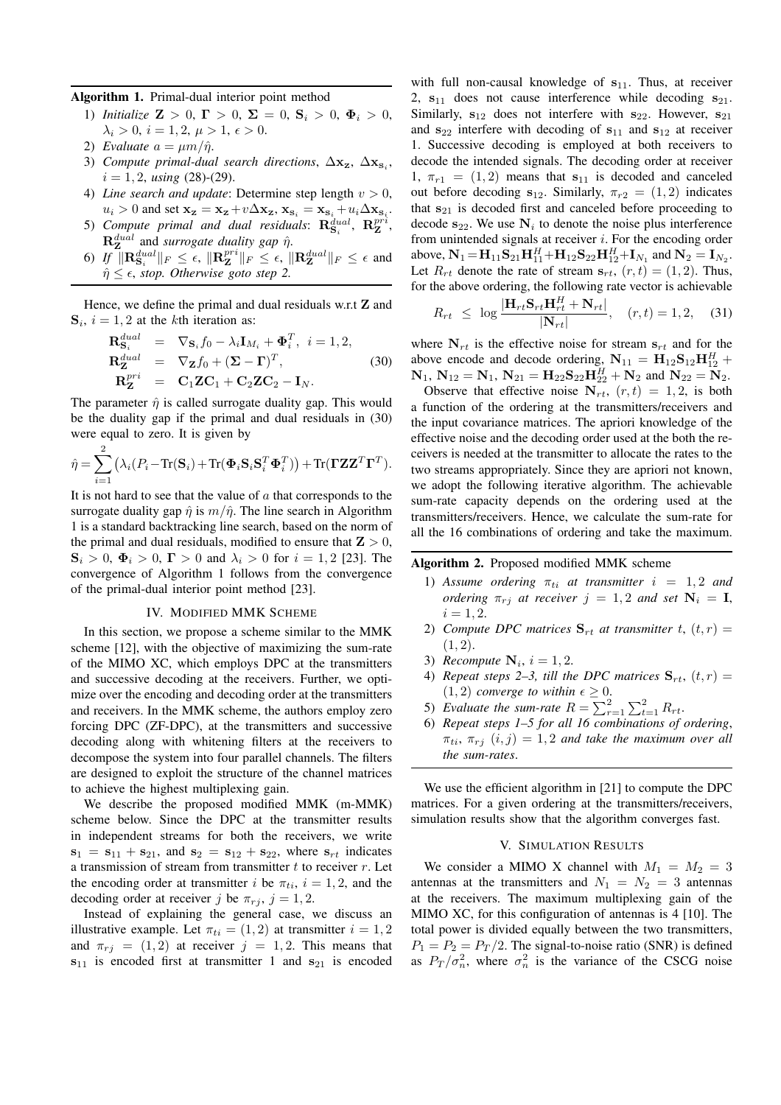Algorithm 1. Primal-dual interior point method

- 1) *Initialize*  $\mathbf{Z} > 0$ ,  $\mathbf{\Gamma} > 0$ ,  $\mathbf{\Sigma} = 0$ ,  $\mathbf{S}_i > 0$ ,  $\mathbf{\Phi}_i > 0$ ,  $\lambda_i > 0, i = 1, 2, \mu > 1, \epsilon > 0.$
- 2) *Evaluate*  $a = \mu m / \hat{\eta}$ .
- 3) *Compute primal-dual search directions*,  $\Delta x_z$ ,  $\Delta x_{s_i}$ ,  $i = 1, 2$ , *using* (28)-(29).
- 4) *Line search and update*: Determine step length  $v > 0$ ,  $u_i > 0$  and set  $\mathbf{x_z} = \mathbf{x_z} + v\Delta\mathbf{x_z}$ ,  $\mathbf{x_{s_i}} = \mathbf{x_{s_i}} + u_i\Delta\mathbf{x_{s_i}}$ .
- 5) Compute primal and dual residuals:  $\mathbf{R}_{\mathbf{S}_i}^{\text{dual}}, \ \mathbf{R}_{\mathbf{Z}}^{\text{pr} \hat{\imath}}$ ,  $\mathbf{R}_{\mathbf{Z}}^{dual}$  and *surrogate duality gap*  $\hat{\eta}$ .
- 6) If  $\|\mathbf{R}^{dual}_{\mathbf{S}_i}\|_F \leq \epsilon$ ,  $\|\mathbf{R}^{pri}_{\mathbf{Z}}\|_F \leq \epsilon$ ,  $\|\mathbf{R}^{dual}_{\mathbf{Z}}\|_F \leq \epsilon$  and  $\hat{\eta} \leq \epsilon$ , *stop. Otherwise goto step 2.*

Hence, we define the primal and dual residuals w.r.t **Z** and  $S_i$ ,  $i = 1, 2$  at the kth iteration as:

$$
\begin{aligned}\n\mathbf{R}_{\mathbf{S}_i}^{dual} &= \nabla_{\mathbf{S}_i} f_0 - \lambda_i \mathbf{I}_{M_i} + \mathbf{\Phi}_i^T, \ i = 1, 2, \\
\mathbf{R}_{\mathbf{Z}}^{dual} &= \nabla_{\mathbf{Z}} f_0 + (\mathbf{\Sigma} - \mathbf{\Gamma})^T, \\
\mathbf{R}_{\mathbf{Z}}^{pri} &= \mathbf{C}_1 \mathbf{Z} \mathbf{C}_1 + \mathbf{C}_2 \mathbf{Z} \mathbf{C}_2 - \mathbf{I}_N.\n\end{aligned} \tag{30}
$$

The parameter  $\hat{\eta}$  is called surrogate duality gap. This would be the duality gap if the primal and dual residuals in (30) were equal to zero. It is given by

$$
\hat{\eta} = \sum_{i=1}^{2} (\lambda_i (P_i - \text{Tr}(\mathbf{S}_i) + \text{Tr}(\mathbf{\Phi}_i \mathbf{S}_i \mathbf{S}_i^T \mathbf{\Phi}_i^T)) + \text{Tr}(\mathbf{\Gamma} \mathbf{Z} \mathbf{Z}^T \mathbf{\Gamma}^T).
$$

It is not hard to see that the value of  $\alpha$  that corresponds to the surrogate duality gap  $\hat{\eta}$  is  $m/\hat{\eta}$ . The line search in Algorithm 1 is a standard backtracking line search, based on the norm of the primal and dual residuals, modified to ensure that  $\mathbf{Z} > 0$ ,  $S_i > 0$ ,  $\Phi_i > 0$ ,  $\Gamma > 0$  and  $\lambda_i > 0$  for  $i = 1, 2$  [23]. The convergence of Algorithm 1 follows from the convergence of the primal-dual interior point method [23].

# IV. MODIFIED MMK SCHEME

In this section, we propose a scheme similar to the MMK scheme [12], with the objective of maximizing the sum-rate of the MIMO XC, which employs DPC at the transmitters and successive decoding at the receivers. Further, we optimize over the encoding and decoding order at the transmitters and receivers. In the MMK scheme, the authors employ zero forcing DPC (ZF-DPC), at the transmitters and successive decoding along with whitening filters at the receivers to decompose the system into four parallel channels. The filters are designed to exploit the structure of the channel matrices to achieve the highest multiplexing gain.

We describe the proposed modified MMK (m-MMK) scheme below. Since the DPC at the transmitter results in independent streams for both the receivers, we write  $s_1 = s_{11} + s_{21}$ , and  $s_2 = s_{12} + s_{22}$ , where  $s_{rt}$  indicates a transmission of stream from transmitter  $t$  to receiver  $r$ . Let the encoding order at transmitter i be  $\pi_{ti}$ ,  $i = 1, 2$ , and the decoding order at receiver j be  $\pi_{ri}$ ,  $j = 1, 2$ .

Instead of explaining the general case, we discuss an illustrative example. Let  $\pi_{ti} = (1, 2)$  at transmitter  $i = 1, 2$ and  $\pi_{r_i} = (1, 2)$  at receiver  $j = 1, 2$ . This means that  $s_{11}$  is encoded first at transmitter 1 and  $s_{21}$  is encoded

with full non-causal knowledge of  $s_{11}$ . Thus, at receiver 2,  $s_{11}$  does not cause interference while decoding  $s_{21}$ . Similarly,  $s_{12}$  does not interfere with  $s_{22}$ . However,  $s_{21}$ and  $s_{22}$  interfere with decoding of  $s_{11}$  and  $s_{12}$  at receiver 1. Successive decoding is employed at both receivers to decode the intended signals. The decoding order at receiver 1,  $\pi_{r1} = (1, 2)$  means that  $s_{11}$  is decoded and canceled out before decoding  $s_{12}$ . Similarly,  $\pi_{r2} = (1, 2)$  indicates that  $s_{21}$  is decoded first and canceled before proceeding to decode  $s_{22}$ . We use  $N_i$  to denote the noise plus interference from unintended signals at receiver  $i$ . For the encoding order above,  $N_1 = H_{11}S_{21}H_{11}^H + H_{12}S_{22}H_{12}^H + I_{N_1}$  and  $N_2 = I_{N_2}$ . Let  $R_{rt}$  denote the rate of stream  $s_{rt}$ ,  $(r, t) = (1, 2)$ . Thus, for the above ordering, the following rate vector is achievable

$$
R_{rt} \leq \log \frac{|\mathbf{H}_{rt}\mathbf{S}_{rt}\mathbf{H}_{rt}^H + \mathbf{N}_{rt}|}{|\mathbf{N}_{rt}|}, \quad (r, t) = 1, 2, \quad (31)
$$

where  $N_{rt}$  is the effective noise for stream  $s_{rt}$  and for the above encode and decode ordering,  $N_{11} = H_{12}S_{12}H_{12}^H +$  $N_1, N_{12} = N_1, N_{21} = H_{22}S_{22}H_{22}^H + N_2$  and  $N_{22} = N_2$ .

Observe that effective noise  $N_{rt}$ ,  $(r, t) = 1, 2$ , is both a function of the ordering at the transmitters/receivers and the input covariance matrices. The apriori knowledge of the effective noise and the decoding order used at the both the receivers is needed at the transmitter to allocate the rates to the two streams appropriately. Since they are apriori not known, we adopt the following iterative algorithm. The achievable sum-rate capacity depends on the ordering used at the transmitters/receivers. Hence, we calculate the sum-rate for all the 16 combinations of ordering and take the maximum.

# Algorithm 2. Proposed modified MMK scheme

- 1) Assume ordering  $\pi_{ti}$  at transmitter  $i = 1, 2$  and *ordering*  $\pi_{rj}$  *at receiver*  $j = 1, 2$  *and set*  $N_i = I$ ,  $i = 1, 2.$
- 2) *Compute DPC matrices*  $S_{rt}$  *at transmitter t,*  $(t, r) =$  $(1, 2).$
- 3) *Recompute*  $N_i$ ,  $i = 1, 2$ .
- 4) *Repeat steps 2–3, till the DPC matrices*  $S_{rt}$ ,  $(t, r)$  =  $(1, 2)$  *converge to within*  $\epsilon \geq 0$ .
- 5) Evaluate the sum-rate  $R = \sum_{r=1}^{2} \sum_{t=1}^{2} R_{rt}$ .
- 6) *Repeat steps 1–5 for all 16 combinations of ordering*,  $\pi_{ti}, \pi_{ri}$   $(i, j) = 1, 2$  *and take the maximum over all the sum-rates*.

We use the efficient algorithm in [21] to compute the DPC matrices. For a given ordering at the transmitters/receivers, simulation results show that the algorithm converges fast.

## V. SIMULATION RESULTS

We consider a MIMO X channel with  $M_1 = M_2 = 3$ antennas at the transmitters and  $N_1 = N_2 = 3$  antennas at the receivers. The maximum multiplexing gain of the MIMO XC, for this configuration of antennas is 4 [10]. The total power is divided equally between the two transmitters,  $P_1 = P_2 = P_T/2$ . The signal-to-noise ratio (SNR) is defined as  $P_T / \sigma_n^2$ , where  $\sigma_n^2$  is the variance of the CSCG noise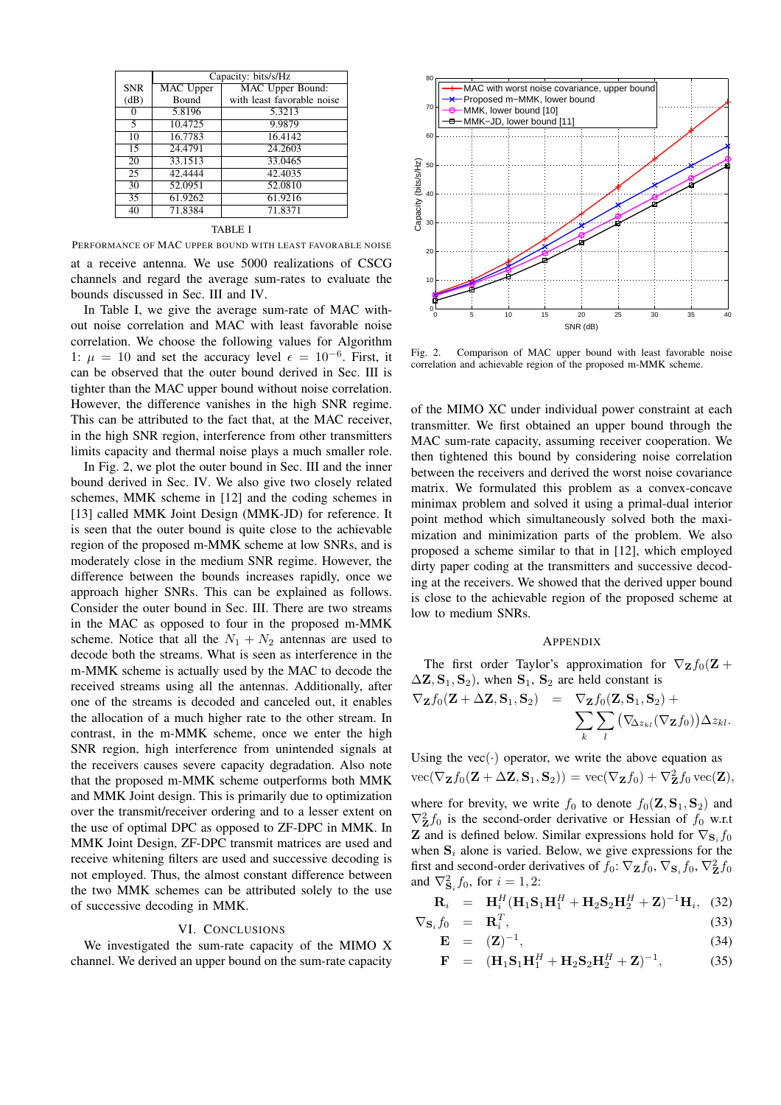|            | Capacity: bits/s/Hz |                            |
|------------|---------------------|----------------------------|
| <b>SNR</b> | <b>MAC</b> Upper    | <b>MAC</b> Upper Bound:    |
| (dB)       | <b>Bound</b>        | with least favorable noise |
| 0          | 5.8196              | 5.3213                     |
| 5          | 10.4725             | 9.9879                     |
| 10         | 16.7783             | 16.4142                    |
| 15         | 24.4791             | 24.2603                    |
| 20         | 33.1513             | 33.0465                    |
| 25         | 42.4444             | 42.4035                    |
| 30         | 52.0951             | 52.0810                    |
| 35         | 61.9262             | 61.9216                    |
| 40         | 71.8384             | 71.8371                    |

#### TABLE I

PERFORMANCE OF MAC UPPER BOUND WITH LEAST FAVORABLE NOISE

at a receive antenna. We use 5000 realizations of CSCG channels and regard the average sum-rates to evaluate the bounds discussed in Sec. III and IV.

In Table I, we give the average sum-rate of MAC without noise correlation and MAC with least favorable noise correlation. We choose the following values for Algorithm 1:  $\mu = 10$  and set the accuracy level  $\epsilon = 10^{-6}$ . First, it can be observed that the outer bound derived in Sec. III is tighter than the MAC upper bound without noise correlation. However, the difference vanishes in the high SNR regime. This can be attributed to the fact that, at the MAC receiver, in the high SNR region, interference from other transmitters limits capacity and thermal noise plays a much smaller role.

In Fig. 2, we plot the outer bound in Sec. III and the inner bound derived in Sec. IV. We also give two closely related schemes, MMK scheme in [12] and the coding schemes in [13] called MMK Joint Design (MMK-JD) for reference. It is seen that the outer bound is quite close to the achievable region of the proposed m-MMK scheme at low SNRs, and is moderately close in the medium SNR regime. However, the difference between the bounds increases rapidly, once we approach higher SNRs. This can be explained as follows. Consider the outer bound in Sec. III. There are two streams in the MAC as opposed to four in the proposed m-MMK scheme. Notice that all the  $N_1 + N_2$  antennas are used to decode both the streams. What is seen as interference in the m-MMK scheme is actually used by the MAC to decode the received streams using all the antennas. Additionally, after one of the streams is decoded and canceled out, it enables the allocation of a much higher rate to the other stream. In contrast, in the m-MMK scheme, once we enter the high SNR region, high interference from unintended signals at the receivers causes severe capacity degradation. Also note that the proposed m-MMK scheme outperforms both MMK and MMK Joint design. This is primarily due to optimization over the transmit/receiver ordering and to a lesser extent on the use of optimal DPC as opposed to ZF-DPC in MMK. In MMK Joint Design, ZF-DPC transmit matrices are used and receive whitening filters are used and successive decoding is not employed. Thus, the almost constant difference between the two MMK schemes can be attributed solely to the use of successive decoding in MMK.

## VI. CONCLUSIONS

We investigated the sum-rate capacity of the MIMO X channel. We derived an upper bound on the sum-rate capacity



Fig. 2. Comparison of MAC upper bound with least favorable noise correlation and achievable region of the proposed m-MMK scheme.

of the MIMO XC under individual power constraint at each transmitter. We first obtained an upper bound through the MAC sum-rate capacity, assuming receiver cooperation. We then tightened this bound by considering noise correlation between the receivers and derived the worst noise covariance matrix. We formulated this problem as a convex-concave minimax problem and solved it using a primal-dual interior point method which simultaneously solved both the maximization and minimization parts of the problem. We also proposed a scheme similar to that in [12], which employed dirty paper coding at the transmitters and successive decoding at the receivers. We showed that the derived upper bound is close to the achievable region of the proposed scheme at low to medium SNRs.

# APPENDIX

The first order Taylor's approximation for  $\nabla_{\mathbf{Z}} f_0(\mathbf{Z} + \mathbf{Z})$  $\Delta$ **Z**,  $S_1$ ,  $S_2$ ), when  $S_1$ ,  $S_2$  are held constant is

$$
\nabla_{\mathbf{Z}}f_0(\mathbf{Z}+\Delta\mathbf{Z},\mathbf{S}_1,\mathbf{S}_2) = \nabla_{\mathbf{Z}}f_0(\mathbf{Z},\mathbf{S}_1,\mathbf{S}_2) +\n\sum_{k} \sum_{l} (\nabla_{\!\Delta z_{kl}}(\nabla_{\mathbf{Z}}f_0)) \Delta z_{kl}.
$$

Using the vec $(\cdot)$  operator, we write the above equation as  $\text{vec}(\nabla_{\mathbf{Z}}f_0(\mathbf{Z} + \Delta \mathbf{Z}, \mathbf{S}_1, \mathbf{S}_2)) = \text{vec}(\nabla_{\mathbf{Z}}f_0) + \nabla_{\mathbf{Z}}^2 f_0 \text{vec}(\mathbf{Z}),$ 

where for brevity, we write  $f_0$  to denote  $f_0(\mathbf{Z}, \mathbf{S}_1, \mathbf{S}_2)$  and  $\nabla^2_{\mathbf{Z}} f_0$  is the second-order derivative or Hessian of  $f_0$  w.r.t **Z** and is defined below. Similar expressions hold for  $\nabla_{\mathbf{S}_i} f_0$ when  $S_i$  alone is varied. Below, we give expressions for the first and second-order derivatives of  $f_0$ :  $\nabla_{\mathbf{Z}} f_0$ ,  $\nabla_{\mathbf{S}_i} f_0$ ,  $\nabla_{\mathbf{Z}}^2 f_0$ and  $\nabla^2_{\mathbf{S}_i} f_0$ , for  $i = 1, 2$ :

$$
\mathbf{R}_{i} = \mathbf{H}_{i}^{H}(\mathbf{H}_{1}\mathbf{S}_{1}\mathbf{H}_{1}^{H} + \mathbf{H}_{2}\mathbf{S}_{2}\mathbf{H}_{2}^{H} + \mathbf{Z})^{-1}\mathbf{H}_{i}, \quad (32)
$$

$$
\nabla_{\mathbf{S}_i} f_0 = \mathbf{R}_i^T,
$$
  
\n
$$
\mathbf{E} = (\mathbf{Z})^{-1},
$$
\n(33)

$$
\mathbf{F} = (\mathbf{H}_1 \mathbf{S}_1 \mathbf{H}_1^H + \mathbf{H}_2 \mathbf{S}_2 \mathbf{H}_2^H + \mathbf{Z})^{-1}, \tag{35}
$$